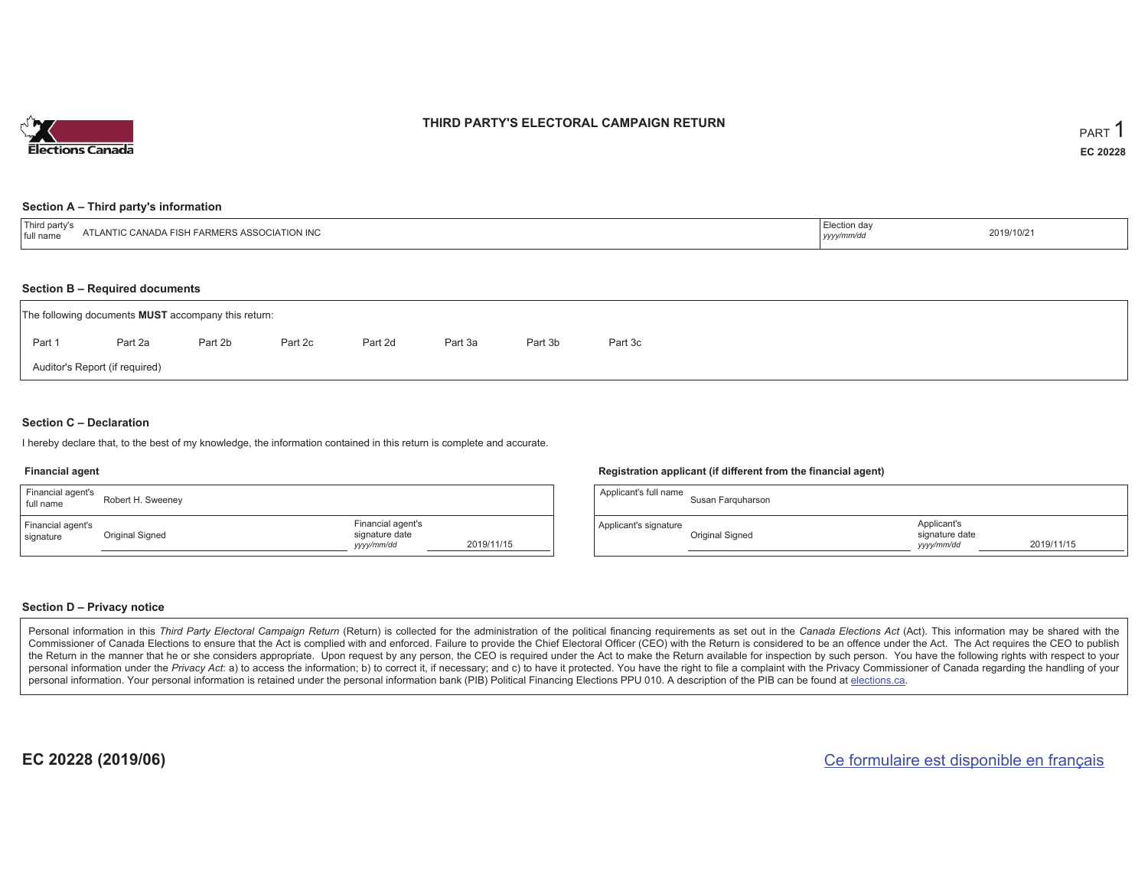

### **THIRD PARTY'S ELECTORAL CAMPAIGN RETURN**

#### **Section A – Third party's information**

| <sup>1</sup> Third<br><b>CIATION INC</b><br>RS ASSC<br><b>FARMERS</b><br>ANTIC<br>`ANADA FISI<br>I full name | Election day<br>yyyyımmıar | 2019/10/21 |  |
|--------------------------------------------------------------------------------------------------------------|----------------------------|------------|--|
|--------------------------------------------------------------------------------------------------------------|----------------------------|------------|--|

#### **Section B – Required documents**

|                                | The following documents <b>MUST</b> accompany this return: |         |         |         |         |         |         |  |
|--------------------------------|------------------------------------------------------------|---------|---------|---------|---------|---------|---------|--|
| Part 1                         | Part 2a                                                    | Part 2b | Part 2c | Part 2d | Part 3a | Part 3b | Part 3c |  |
| Auditor's Report (if required) |                                                            |         |         |         |         |         |         |  |

### **Section C – Declaration**

I hereby declare that, to the best of my knowledge, the information contained in this return is complete and accurate.

#### **Financial agent**

| Financial agent's<br>full name | Robert H. Sweeney |                                                   |            |
|--------------------------------|-------------------|---------------------------------------------------|------------|
| Financial agent's<br>signature | Original Signed   | Financial agent's<br>signature date<br>yyyy/mm/dd | 2019/11/15 |

### **Registration applicant (if different from the financial agent)**

| Applicant's full name | Susan Farguharson |                                             |            |
|-----------------------|-------------------|---------------------------------------------|------------|
| Applicant's signature | Original Signed   | Applicant's<br>signature date<br>yyyy/mm/dd | 2019/11/15 |

### **Section D – Privacy notice**

Personal information in this Third Party Electoral Campaign Return (Return) is collected for the administration of the political financing requirements as set out in the Canada Elections Act (Act). This information may be Commissioner of Canada Elections to ensure that the Act is complied with and enforced. Failure to provide the Chief Electoral Officer (CEO) with the Return is considered to be an offence under the Act. The Act requires the the Return in the manner that he or she considers appropriate. Upon request by any person, the CEO is required under the Act to make the Return available for inspection by such person. You have the following rights with re personal information under the Privacy Act: a) to access the information; b) to correct it, if necessary; and c) to have it protected. You have the right to file a complaint with the Privacy Commissioner of Canada regardin personal information. Your personal information is retained under the personal information bank (PIB) Political Financing Elections PPU 010. A description of the PIB can be found at elections.ca.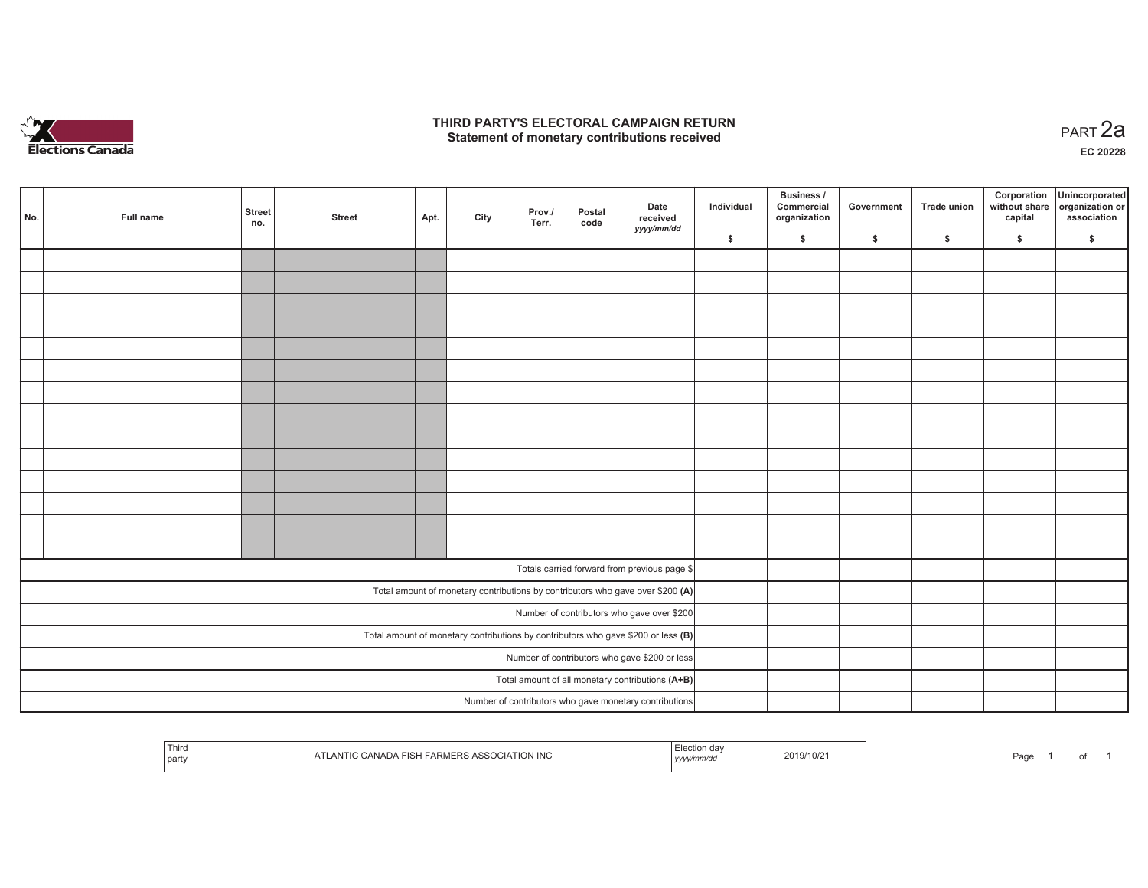

### **THIRD PARTY'S ELECTORAL CAMPAIGN RETURN HIRD PARTY'S ELECTORAL CAMPAIGN RETURN<br>Statement of monetary contributions received PART 2a**

**EC 20228**

| No.                                              | Full name | <b>Street</b><br>no. | <b>Street</b> | Apt. | City | Prov./<br>Terr. | Postal<br>code | Date<br>received<br>yyyy/mm/dd                                                      | Individual | Business /<br>Commercial<br>organization | Government | Trade union | Corporation<br>without share<br>capital | Unincorporated<br>organization or<br>association |
|--------------------------------------------------|-----------|----------------------|---------------|------|------|-----------------|----------------|-------------------------------------------------------------------------------------|------------|------------------------------------------|------------|-------------|-----------------------------------------|--------------------------------------------------|
|                                                  |           |                      |               |      |      |                 |                |                                                                                     | \$         | \$                                       | \$         | \$          | \$                                      | \$                                               |
|                                                  |           |                      |               |      |      |                 |                |                                                                                     |            |                                          |            |             |                                         |                                                  |
|                                                  |           |                      |               |      |      |                 |                |                                                                                     |            |                                          |            |             |                                         |                                                  |
|                                                  |           |                      |               |      |      |                 |                |                                                                                     |            |                                          |            |             |                                         |                                                  |
|                                                  |           |                      |               |      |      |                 |                |                                                                                     |            |                                          |            |             |                                         |                                                  |
|                                                  |           |                      |               |      |      |                 |                |                                                                                     |            |                                          |            |             |                                         |                                                  |
|                                                  |           |                      |               |      |      |                 |                |                                                                                     |            |                                          |            |             |                                         |                                                  |
|                                                  |           |                      |               |      |      |                 |                |                                                                                     |            |                                          |            |             |                                         |                                                  |
|                                                  |           |                      |               |      |      |                 |                |                                                                                     |            |                                          |            |             |                                         |                                                  |
|                                                  |           |                      |               |      |      |                 |                |                                                                                     |            |                                          |            |             |                                         |                                                  |
|                                                  |           |                      |               |      |      |                 |                |                                                                                     |            |                                          |            |             |                                         |                                                  |
|                                                  |           |                      |               |      |      |                 |                |                                                                                     |            |                                          |            |             |                                         |                                                  |
|                                                  |           |                      |               |      |      |                 |                |                                                                                     |            |                                          |            |             |                                         |                                                  |
|                                                  |           |                      |               |      |      |                 |                |                                                                                     |            |                                          |            |             |                                         |                                                  |
|                                                  |           |                      |               |      |      |                 |                |                                                                                     |            |                                          |            |             |                                         |                                                  |
|                                                  |           |                      |               |      |      |                 |                |                                                                                     |            |                                          |            |             |                                         |                                                  |
|                                                  |           |                      |               |      |      |                 |                | Totals carried forward from previous page \$                                        |            |                                          |            |             |                                         |                                                  |
|                                                  |           |                      |               |      |      |                 |                | Total amount of monetary contributions by contributors who gave over \$200 (A)      |            |                                          |            |             |                                         |                                                  |
|                                                  |           |                      |               |      |      |                 |                | Number of contributors who gave over \$200                                          |            |                                          |            |             |                                         |                                                  |
|                                                  |           |                      |               |      |      |                 |                | Total amount of monetary contributions by contributors who gave \$200 or less $(B)$ |            |                                          |            |             |                                         |                                                  |
| Number of contributors who gave \$200 or less    |           |                      |               |      |      |                 |                |                                                                                     |            |                                          |            |             |                                         |                                                  |
| Total amount of all monetary contributions (A+B) |           |                      |               |      |      |                 |                |                                                                                     |            |                                          |            |             |                                         |                                                  |
|                                                  |           |                      |               |      |      |                 |                | Number of contributors who gave monetary contributions                              |            |                                          |            |             |                                         |                                                  |
|                                                  |           |                      |               |      |      |                 |                |                                                                                     |            |                                          |            |             |                                         |                                                  |

| Third<br>part | <b>ATION INC</b><br>FARM <sup>2</sup><br>$M-H \sim$ | .<br><b>7 V V V</b><br>,,,,, | 10/2 | Page |  |  |  |
|---------------|-----------------------------------------------------|------------------------------|------|------|--|--|--|
|---------------|-----------------------------------------------------|------------------------------|------|------|--|--|--|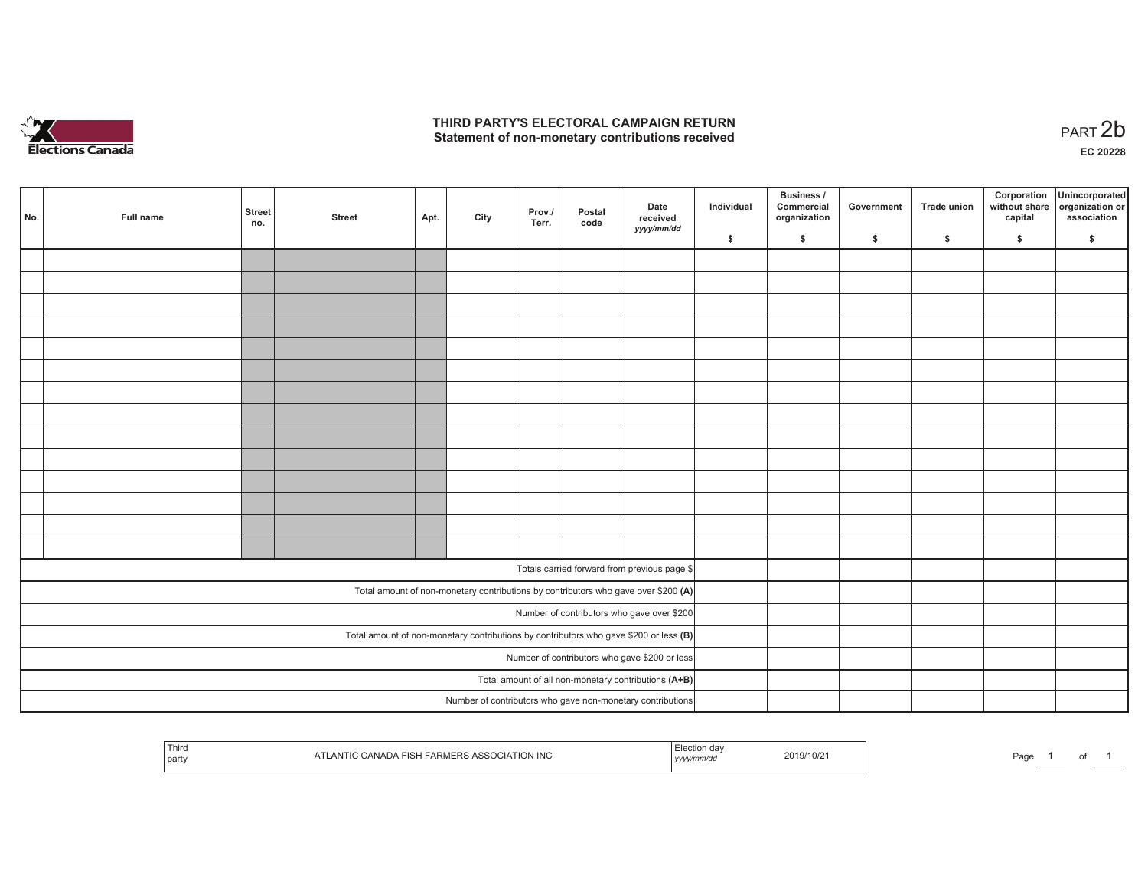

## **THIRD PARTY'S ELECTORAL CAMPAIGN RETURN**  THIRD PARTY'S ELECTORAL CAMPAIGN RETURN<br>Statement of non-monetary contributions received<br> **PART 2b**

| No. | Full name                                                                               | <b>Street</b><br>no.                          | <b>Street</b> | Apt. | City | Prov./<br>Terr. | Postal<br>code | Date<br>received<br>yyyy/mm/dd                                                     | Individual | <b>Business /</b><br>Commercial<br>organization | Government | Trade union | Corporation<br>capital | Unincorporated<br>without share organization or<br>association |
|-----|-----------------------------------------------------------------------------------------|-----------------------------------------------|---------------|------|------|-----------------|----------------|------------------------------------------------------------------------------------|------------|-------------------------------------------------|------------|-------------|------------------------|----------------------------------------------------------------|
|     |                                                                                         |                                               |               |      |      |                 |                |                                                                                    | \$         | \$                                              | \$         | \$          | \$                     | \$                                                             |
|     |                                                                                         |                                               |               |      |      |                 |                |                                                                                    |            |                                                 |            |             |                        |                                                                |
|     |                                                                                         |                                               |               |      |      |                 |                |                                                                                    |            |                                                 |            |             |                        |                                                                |
|     |                                                                                         |                                               |               |      |      |                 |                |                                                                                    |            |                                                 |            |             |                        |                                                                |
|     |                                                                                         |                                               |               |      |      |                 |                |                                                                                    |            |                                                 |            |             |                        |                                                                |
|     |                                                                                         |                                               |               |      |      |                 |                |                                                                                    |            |                                                 |            |             |                        |                                                                |
|     |                                                                                         |                                               |               |      |      |                 |                |                                                                                    |            |                                                 |            |             |                        |                                                                |
|     |                                                                                         |                                               |               |      |      |                 |                |                                                                                    |            |                                                 |            |             |                        |                                                                |
|     |                                                                                         |                                               |               |      |      |                 |                |                                                                                    |            |                                                 |            |             |                        |                                                                |
|     |                                                                                         |                                               |               |      |      |                 |                |                                                                                    |            |                                                 |            |             |                        |                                                                |
|     |                                                                                         |                                               |               |      |      |                 |                |                                                                                    |            |                                                 |            |             |                        |                                                                |
|     |                                                                                         |                                               |               |      |      |                 |                |                                                                                    |            |                                                 |            |             |                        |                                                                |
|     |                                                                                         |                                               |               |      |      |                 |                |                                                                                    |            |                                                 |            |             |                        |                                                                |
|     |                                                                                         |                                               |               |      |      |                 |                |                                                                                    |            |                                                 |            |             |                        |                                                                |
|     |                                                                                         |                                               |               |      |      |                 |                |                                                                                    |            |                                                 |            |             |                        |                                                                |
|     |                                                                                         |                                               |               |      |      |                 |                | Totals carried forward from previous page \$                                       |            |                                                 |            |             |                        |                                                                |
|     |                                                                                         |                                               |               |      |      |                 |                |                                                                                    |            |                                                 |            |             |                        |                                                                |
|     |                                                                                         |                                               |               |      |      |                 |                | Total amount of non-monetary contributions by contributors who gave over \$200 (A) |            |                                                 |            |             |                        |                                                                |
|     |                                                                                         |                                               |               |      |      |                 |                | Number of contributors who gave over \$200                                         |            |                                                 |            |             |                        |                                                                |
|     | Total amount of non-monetary contributions by contributors who gave \$200 or less $(B)$ |                                               |               |      |      |                 |                |                                                                                    |            |                                                 |            |             |                        |                                                                |
|     |                                                                                         | Number of contributors who gave \$200 or less |               |      |      |                 |                |                                                                                    |            |                                                 |            |             |                        |                                                                |
|     |                                                                                         |                                               |               |      |      |                 |                | Total amount of all non-monetary contributions (A+B)                               |            |                                                 |            |             |                        |                                                                |
|     |                                                                                         |                                               |               |      |      |                 |                | Number of contributors who gave non-monetary contributions                         |            |                                                 |            |             |                        |                                                                |

| Third<br>"ION INC<br>$\sim$ $\sim$ $\sim$<br>. ההודי<br>party | /10/2<br>ZU 197<br>  ソソソソ | Page |
|---------------------------------------------------------------|---------------------------|------|
|---------------------------------------------------------------|---------------------------|------|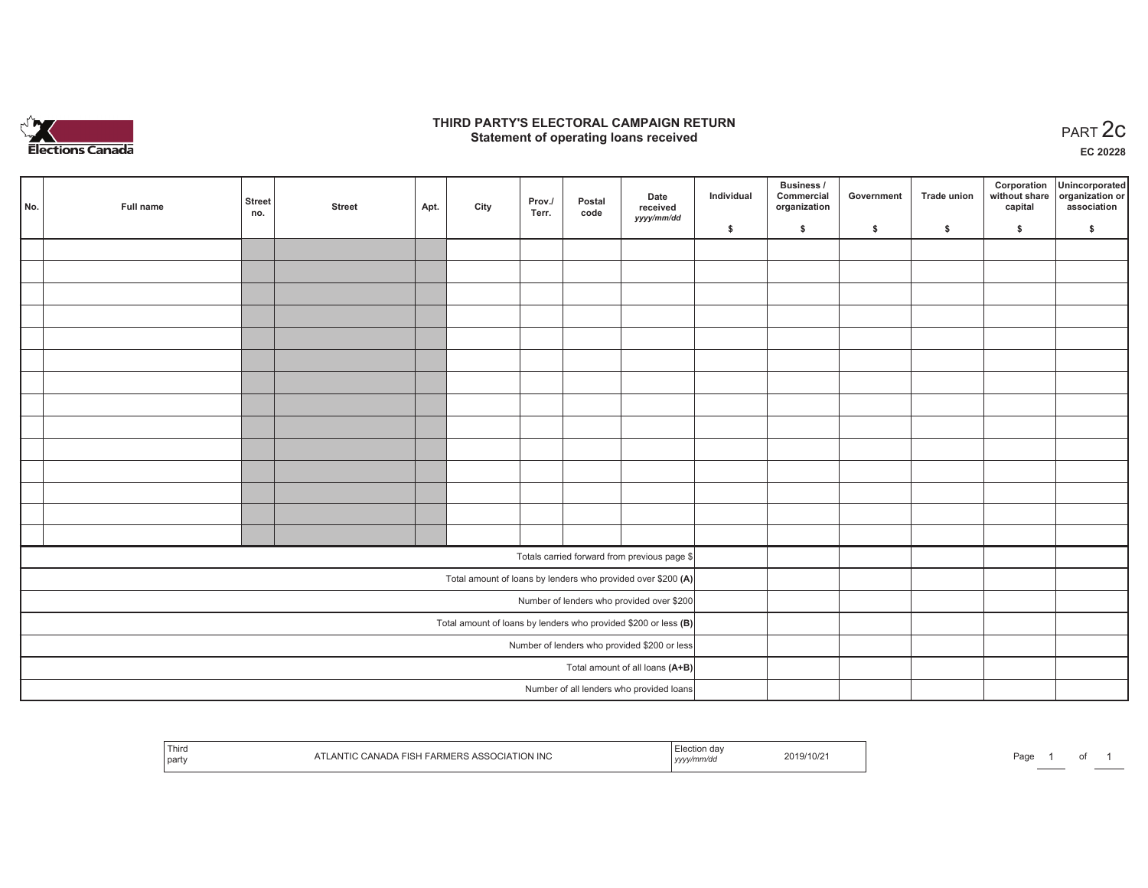

## **THIRD PARTY'S ELECTORAL CAMPAIGN RETURN STATE:** PERSON SELECTORAL CAMPAIGN RETURN<br>
Statement of operating loans received

**EC 20228**

| No. | Full name | <b>Street</b><br>no. | <b>Street</b> | Apt. | City | Prov./<br>Terr. | Postal<br>code | Date<br>received                                                  | Individual | <b>Business /</b><br>Commercial<br>organization | Government | Trade union | Corporation<br>capital | Unincorporated<br>without share organization or<br>association |
|-----|-----------|----------------------|---------------|------|------|-----------------|----------------|-------------------------------------------------------------------|------------|-------------------------------------------------|------------|-------------|------------------------|----------------------------------------------------------------|
|     |           |                      |               |      |      |                 |                | yyyy/mm/dd                                                        | \$         | \$                                              | \$         | \$          | \$                     | \$                                                             |
|     |           |                      |               |      |      |                 |                |                                                                   |            |                                                 |            |             |                        |                                                                |
|     |           |                      |               |      |      |                 |                |                                                                   |            |                                                 |            |             |                        |                                                                |
|     |           |                      |               |      |      |                 |                |                                                                   |            |                                                 |            |             |                        |                                                                |
|     |           |                      |               |      |      |                 |                |                                                                   |            |                                                 |            |             |                        |                                                                |
|     |           |                      |               |      |      |                 |                |                                                                   |            |                                                 |            |             |                        |                                                                |
|     |           |                      |               |      |      |                 |                |                                                                   |            |                                                 |            |             |                        |                                                                |
|     |           |                      |               |      |      |                 |                |                                                                   |            |                                                 |            |             |                        |                                                                |
|     |           |                      |               |      |      |                 |                |                                                                   |            |                                                 |            |             |                        |                                                                |
|     |           |                      |               |      |      |                 |                |                                                                   |            |                                                 |            |             |                        |                                                                |
|     |           |                      |               |      |      |                 |                |                                                                   |            |                                                 |            |             |                        |                                                                |
|     |           |                      |               |      |      |                 |                |                                                                   |            |                                                 |            |             |                        |                                                                |
|     |           |                      |               |      |      |                 |                |                                                                   |            |                                                 |            |             |                        |                                                                |
|     |           |                      |               |      |      |                 |                |                                                                   |            |                                                 |            |             |                        |                                                                |
|     |           |                      |               |      |      |                 |                |                                                                   |            |                                                 |            |             |                        |                                                                |
|     |           |                      |               |      |      |                 |                | Totals carried forward from previous page \$                      |            |                                                 |            |             |                        |                                                                |
|     |           |                      |               |      |      |                 |                | Total amount of loans by lenders who provided over \$200 (A)      |            |                                                 |            |             |                        |                                                                |
|     |           |                      |               |      |      |                 |                | Number of lenders who provided over \$200                         |            |                                                 |            |             |                        |                                                                |
|     |           |                      |               |      |      |                 |                | Total amount of loans by lenders who provided \$200 or less $(B)$ |            |                                                 |            |             |                        |                                                                |
|     |           |                      |               |      |      |                 |                | Number of lenders who provided \$200 or less                      |            |                                                 |            |             |                        |                                                                |
|     |           |                      |               |      |      |                 |                | Total amount of all loans (A+B)                                   |            |                                                 |            |             |                        |                                                                |
|     |           |                      |               |      |      |                 |                | Number of all lenders who provided loans                          |            |                                                 |            |             |                        |                                                                |

| Third<br>part | <b>SSOCIATION INC</b> | n dav<br>2019/10/2<br>,,,,, | $O_{\mathcal{D}}$<br>au |
|---------------|-----------------------|-----------------------------|-------------------------|
|---------------|-----------------------|-----------------------------|-------------------------|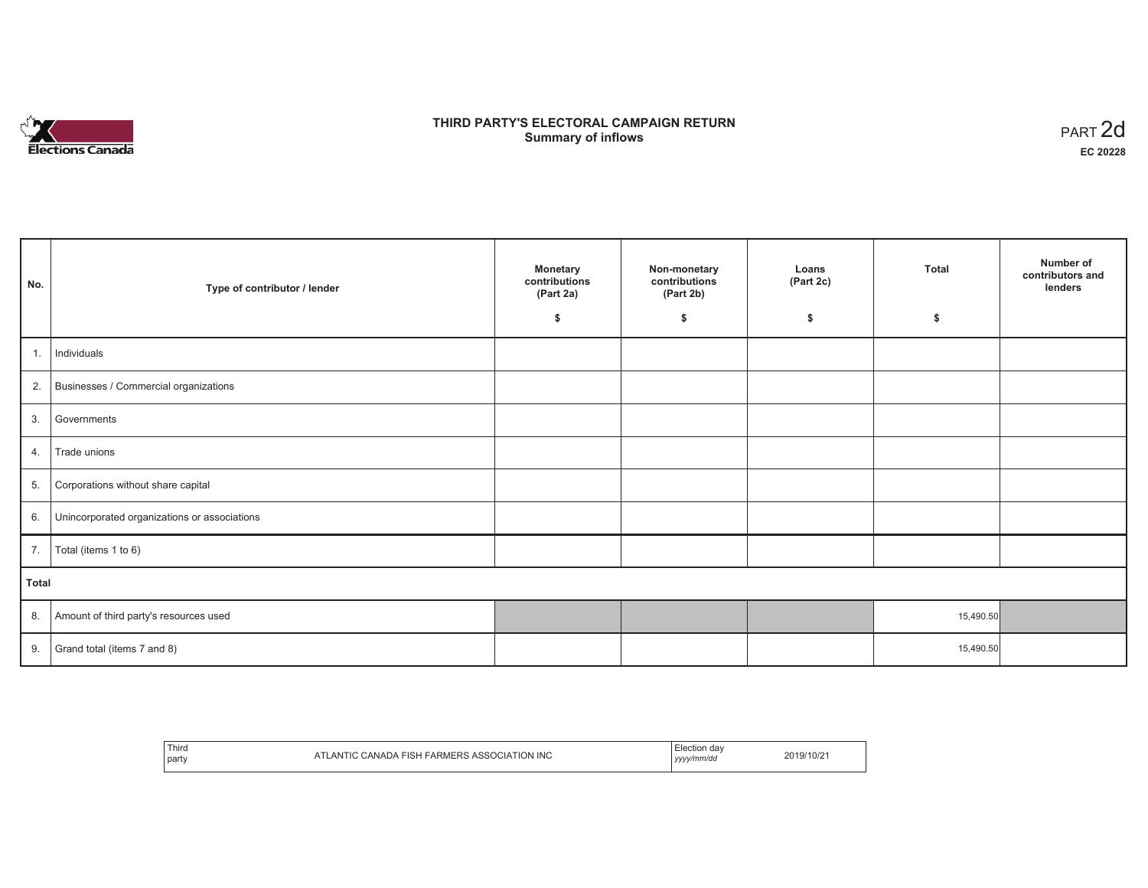

## **THIRD PARTY'S ELECTORAL CAMPAIGN RETURN S** ELECTORAL CAMPAIGN RETURN<br>Summary of inflows PART 2d

| No.   | Type of contributor / lender                 | <b>Monetary</b><br>contributions<br>(Part 2a) | Non-monetary<br>contributions<br>(Part 2b) | Loans<br>(Part 2c) | Total     | Number of<br>contributors and<br>lenders |
|-------|----------------------------------------------|-----------------------------------------------|--------------------------------------------|--------------------|-----------|------------------------------------------|
|       |                                              | \$                                            | \$                                         | \$                 | \$        |                                          |
| 1.    | Individuals                                  |                                               |                                            |                    |           |                                          |
| 2.    | Businesses / Commercial organizations        |                                               |                                            |                    |           |                                          |
| 3.    | Governments                                  |                                               |                                            |                    |           |                                          |
| 4.    | Trade unions                                 |                                               |                                            |                    |           |                                          |
| 5.    | Corporations without share capital           |                                               |                                            |                    |           |                                          |
| 6.    | Unincorporated organizations or associations |                                               |                                            |                    |           |                                          |
| 7.    | Total (items 1 to 6)                         |                                               |                                            |                    |           |                                          |
| Total |                                              |                                               |                                            |                    |           |                                          |
| 8.    | Amount of third party's resources used       |                                               |                                            |                    | 15,490.50 |                                          |
| 9.    | Grand total (items 7 and 8)                  |                                               |                                            |                    | 15,490.50 |                                          |

| Third<br><b>INC</b><br>ירו<br>party | da\<br>.<br>vyvy/mm/do<br>,,,, |  |
|-------------------------------------|--------------------------------|--|
|-------------------------------------|--------------------------------|--|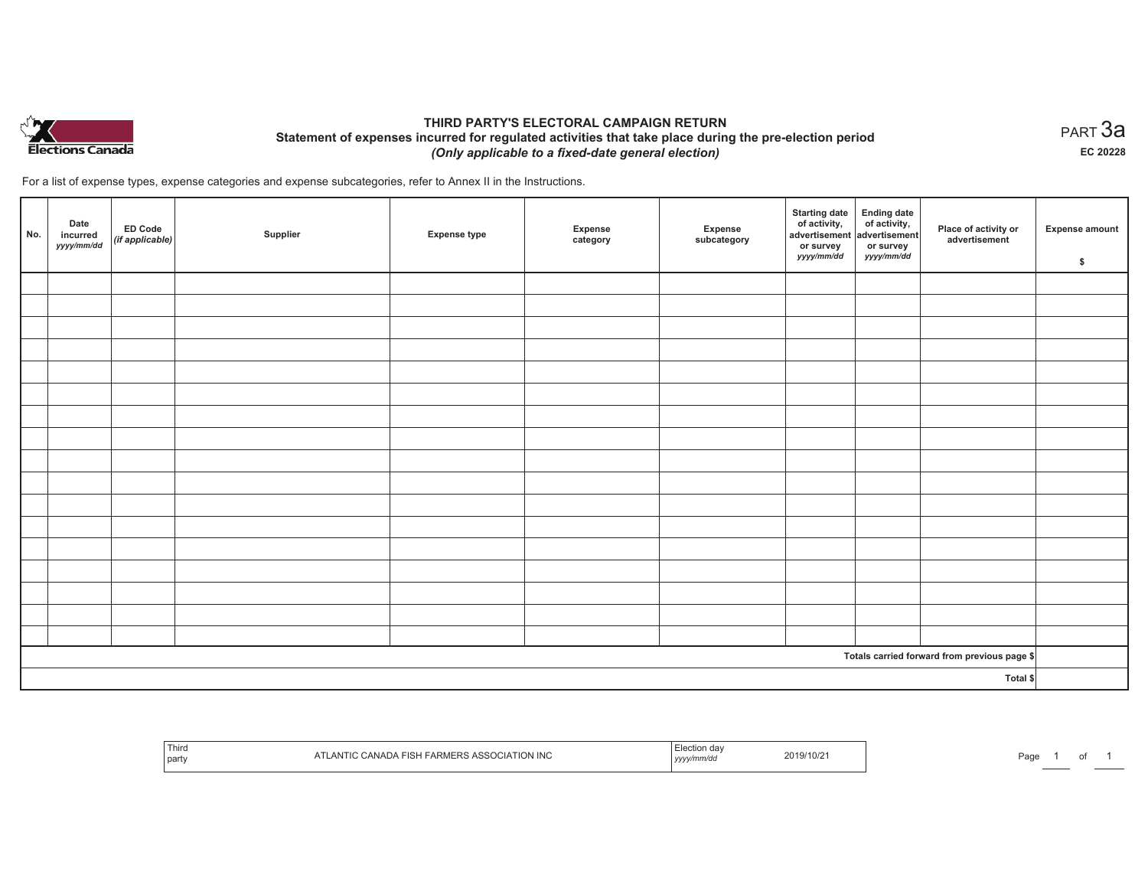

## **THIRD PARTY'S ELECTORAL CAMPAIGN RETURN Statement of expenses incurred for regulated activities that take place during the pre-election period**  *(Only applicable to a fixed-date general election)*

For a list of expense types, expense categories and expense subcategories, refer to Annex II in the Instructions.

| No.      | Date<br>incurred<br>yyyy/mm/dd | ED Code<br>(if applicable) | Supplier | <b>Expense type</b> | Expense<br>category | Expense<br>subcategory | <b>Starting date</b><br>of activity,<br>advertisement<br>or survey<br>yyyy/mm/dd | Ending date<br>of activity,<br>advertisement<br>or survey<br>yyyy/mm/dd | Place of activity or<br>advertisement        | Expense amount<br>\$ |
|----------|--------------------------------|----------------------------|----------|---------------------|---------------------|------------------------|----------------------------------------------------------------------------------|-------------------------------------------------------------------------|----------------------------------------------|----------------------|
|          |                                |                            |          |                     |                     |                        |                                                                                  |                                                                         |                                              |                      |
|          |                                |                            |          |                     |                     |                        |                                                                                  |                                                                         |                                              |                      |
|          |                                |                            |          |                     |                     |                        |                                                                                  |                                                                         |                                              |                      |
|          |                                |                            |          |                     |                     |                        |                                                                                  |                                                                         |                                              |                      |
|          |                                |                            |          |                     |                     |                        |                                                                                  |                                                                         |                                              |                      |
|          |                                |                            |          |                     |                     |                        |                                                                                  |                                                                         |                                              |                      |
|          |                                |                            |          |                     |                     |                        |                                                                                  |                                                                         |                                              |                      |
|          |                                |                            |          |                     |                     |                        |                                                                                  |                                                                         |                                              |                      |
|          |                                |                            |          |                     |                     |                        |                                                                                  |                                                                         |                                              |                      |
|          |                                |                            |          |                     |                     |                        |                                                                                  |                                                                         |                                              |                      |
|          |                                |                            |          |                     |                     |                        |                                                                                  |                                                                         |                                              |                      |
|          |                                |                            |          |                     |                     |                        |                                                                                  |                                                                         |                                              |                      |
|          |                                |                            |          |                     |                     |                        |                                                                                  |                                                                         |                                              |                      |
|          |                                |                            |          |                     |                     |                        |                                                                                  |                                                                         |                                              |                      |
|          |                                |                            |          |                     |                     |                        |                                                                                  |                                                                         |                                              |                      |
|          |                                |                            |          |                     |                     |                        |                                                                                  |                                                                         |                                              |                      |
|          |                                |                            |          |                     |                     |                        |                                                                                  |                                                                         |                                              |                      |
|          |                                |                            |          |                     |                     |                        |                                                                                  |                                                                         | Totals carried forward from previous page \$ |                      |
| Total \$ |                                |                            |          |                     |                     |                        |                                                                                  |                                                                         |                                              |                      |

| <b>Third</b><br>  part | . NIT<br>. ION ING | ,,,,, | .019/<br>'10/2 | Page |  |
|------------------------|--------------------|-------|----------------|------|--|
|                        |                    |       |                |      |  |

 $_{\sf PART}$ 3a **EC 20228**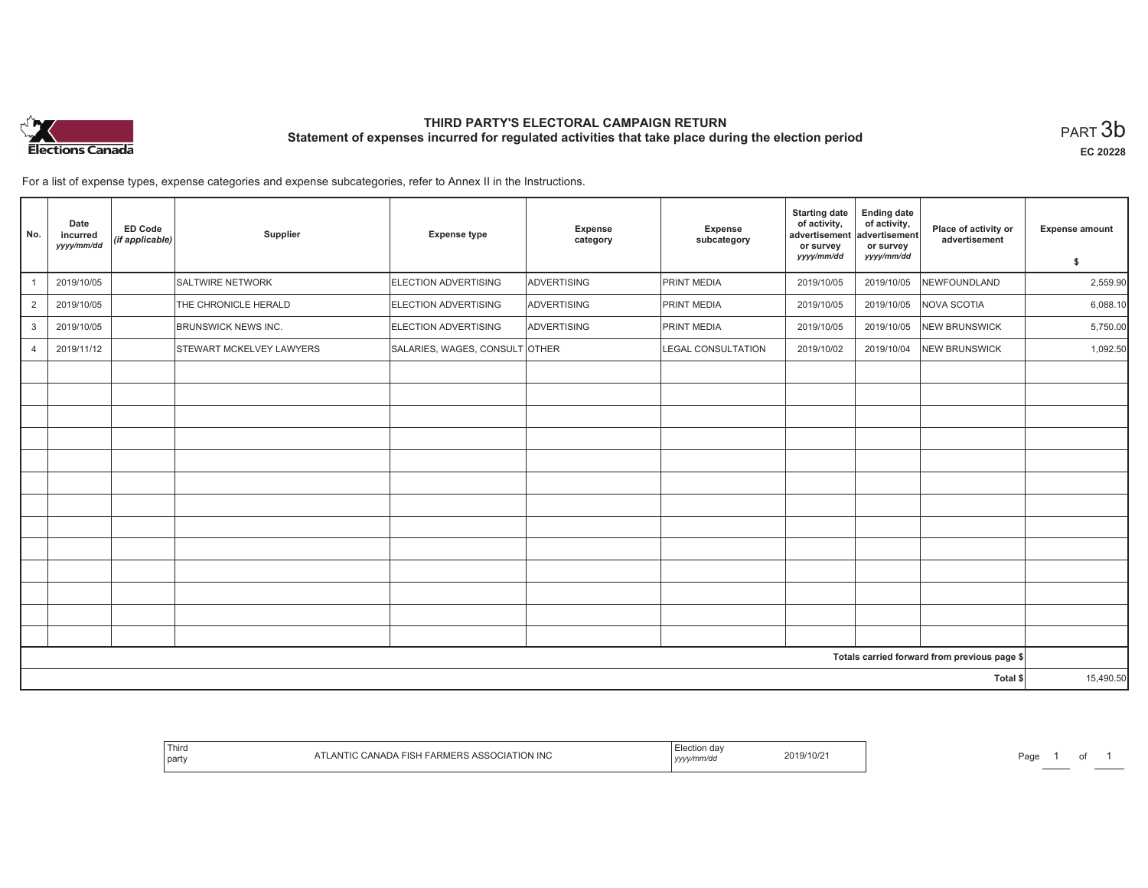

# **THIRD PARTY'S ELECTORAL CAMPAIGN RETURN Statement of expenses incurred for regulated activities that take place during the election period**<br>PART  $3\mathsf{b}$

**EC 20228**

For a list of expense types, expense categories and expense subcategories, refer to Annex II in the Instructions.

| No.            | Date<br>incurred<br>yyyy/mm/dd | <b>ED Code</b><br>(if applicable) | Supplier                   | <b>Expense type</b>            | Expense<br>category | Expense<br>subcategory | <b>Starting date</b><br>of activity,<br>advertisement<br>or survey<br>yyyy/mm/dd | <b>Ending date</b><br>of activity,<br>advertisement<br>or survey<br>yyyy/mm/dd | Place of activity or<br>advertisement        | <b>Expense amount</b> |
|----------------|--------------------------------|-----------------------------------|----------------------------|--------------------------------|---------------------|------------------------|----------------------------------------------------------------------------------|--------------------------------------------------------------------------------|----------------------------------------------|-----------------------|
|                |                                |                                   |                            |                                |                     |                        |                                                                                  |                                                                                |                                              | \$                    |
|                | 2019/10/05                     |                                   | <b>SALTWIRE NETWORK</b>    | ELECTION ADVERTISING           | <b>ADVERTISING</b>  | <b>PRINT MEDIA</b>     | 2019/10/05                                                                       | 2019/10/05                                                                     | NEWFOUNDLAND                                 | 2,559.90              |
| 2              | 2019/10/05                     |                                   | THE CHRONICLE HERALD       | <b>ELECTION ADVERTISING</b>    | <b>ADVERTISING</b>  | <b>PRINT MEDIA</b>     | 2019/10/05                                                                       | 2019/10/05                                                                     | <b>NOVA SCOTIA</b>                           | 6,088.10              |
| $\mathbf{3}$   | 2019/10/05                     |                                   | <b>BRUNSWICK NEWS INC.</b> | <b>ELECTION ADVERTISING</b>    | ADVERTISING         | <b>PRINT MEDIA</b>     | 2019/10/05                                                                       | 2019/10/05                                                                     | <b>NEW BRUNSWICK</b>                         | 5,750.00              |
| $\overline{4}$ | 2019/11/12                     |                                   | STEWART MCKELVEY LAWYERS   | SALARIES, WAGES, CONSULT OTHER |                     | LEGAL CONSULTATION     | 2019/10/02                                                                       | 2019/10/04                                                                     | <b>NEW BRUNSWICK</b>                         | 1,092.50              |
|                |                                |                                   |                            |                                |                     |                        |                                                                                  |                                                                                |                                              |                       |
|                |                                |                                   |                            |                                |                     |                        |                                                                                  |                                                                                |                                              |                       |
|                |                                |                                   |                            |                                |                     |                        |                                                                                  |                                                                                |                                              |                       |
|                |                                |                                   |                            |                                |                     |                        |                                                                                  |                                                                                |                                              |                       |
|                |                                |                                   |                            |                                |                     |                        |                                                                                  |                                                                                |                                              |                       |
|                |                                |                                   |                            |                                |                     |                        |                                                                                  |                                                                                |                                              |                       |
|                |                                |                                   |                            |                                |                     |                        |                                                                                  |                                                                                |                                              |                       |
|                |                                |                                   |                            |                                |                     |                        |                                                                                  |                                                                                |                                              |                       |
|                |                                |                                   |                            |                                |                     |                        |                                                                                  |                                                                                |                                              |                       |
|                |                                |                                   |                            |                                |                     |                        |                                                                                  |                                                                                |                                              |                       |
|                |                                |                                   |                            |                                |                     |                        |                                                                                  |                                                                                |                                              |                       |
|                |                                |                                   |                            |                                |                     |                        |                                                                                  |                                                                                |                                              |                       |
|                |                                |                                   |                            |                                |                     |                        |                                                                                  |                                                                                |                                              |                       |
|                |                                |                                   |                            |                                |                     |                        |                                                                                  |                                                                                | Totals carried forward from previous page \$ |                       |
|                |                                |                                   |                            |                                |                     |                        |                                                                                  |                                                                                | Total \$                                     | 15,490.50             |

| Third<br>  party | <b>RS ASSOCIATION INC</b><br>. FISH FARME" | 2019/10/2<br>,,,, | <b>חמנ</b><br>-aue |
|------------------|--------------------------------------------|-------------------|--------------------|
|------------------|--------------------------------------------|-------------------|--------------------|